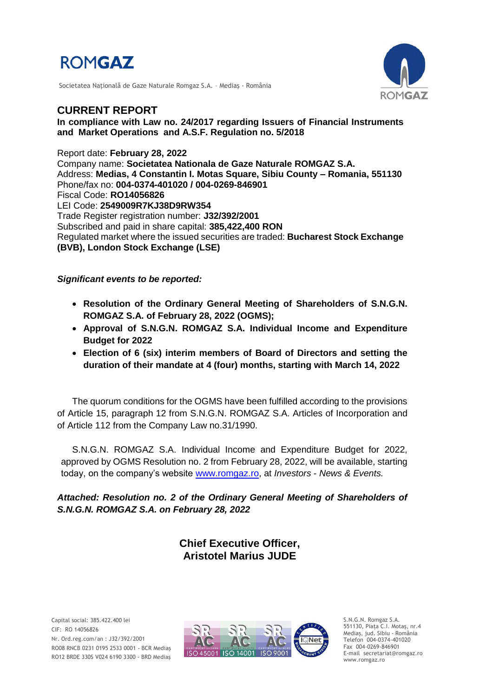

Societatea Naţională de Gaze Naturale Romgaz S.A. – Mediaş - România



# **CURRENT REPORT**

**In compliance with Law no. 24/2017 regarding Issuers of Financial Instruments and Market Operations and A.S.F. Regulation no. 5/2018**

Report date: **February 28, 2022** Company name: **Societatea Nationala de Gaze Naturale ROMGAZ S.A.** Address: **Medias, 4 Constantin I. Motas Square, Sibiu County – Romania, 551130** Phone/fax no: **004-0374-401020 / 004-0269-846901** Fiscal Code: **RO14056826** LEI Code: **2549009R7KJ38D9RW354** Trade Register registration number: **J32/392/2001** Subscribed and paid in share capital: **385,422,400 RON** Regulated market where the issued securities are traded: **Bucharest Stock Exchange (BVB), London Stock Exchange (LSE)**

*Significant events to be reported:*

- **Resolution of the Ordinary General Meeting of Shareholders of S.N.G.N. ROMGAZ S.A. of February 28, 2022 (OGMS);**
- **Approval of S.N.G.N. ROMGAZ S.A. Individual Income and Expenditure Budget for 2022**
- **Election of 6 (six) interim members of Board of Directors and setting the duration of their mandate at 4 (four) months, starting with March 14, 2022**

The quorum conditions for the OGMS have been fulfilled according to the provisions of Article 15, paragraph 12 from S.N.G.N. ROMGAZ S.A. Articles of Incorporation and of Article 112 from the Company Law no.31/1990.

S.N.G.N. ROMGAZ S.A. Individual Income and Expenditure Budget for 2022, approved by OGMS Resolution no. 2 from February 28, 2022, will be available, starting today, on the company's website [www.romgaz.ro,](http://www.romgaz.ro/) at *Investors* - *News & Events.*

*Attached: Resolution no. 2 of the Ordinary General Meeting of Shareholders of S.N.G.N. ROMGAZ S.A. on February 28, 2022*

> **Chief Executive Officer, Aristotel Marius JUDE**



S.N.G.N. Romgaz S.A. 551130, Piața C.I. Motaş, nr.4 Mediaş, jud. Sibiu - România Telefon 004-0374-401020 Fax 004-0269-846901 E-mail secretariat@romgaz.ro www.romgaz.ro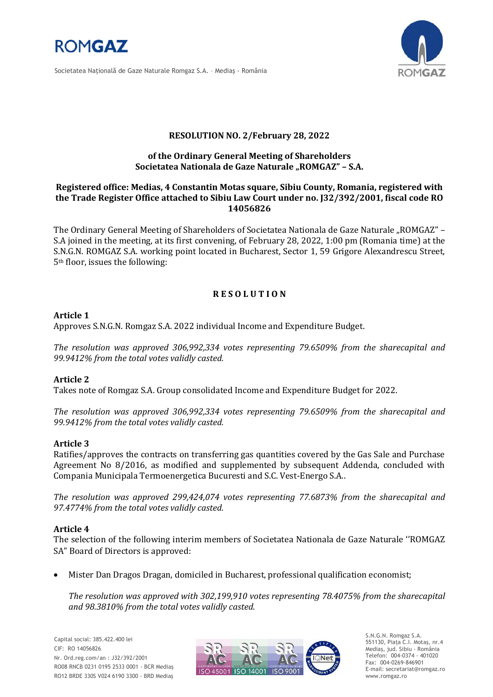

Societatea Naţională de Gaze Naturale Romgaz S.A. – Mediaş - România



## **RESOLUTION NO. 2/February 28, 2022**

## **of the Ordinary General Meeting of Shareholders**  Societatea Nationala de Gaze Naturale "ROMGAZ" - S.A.

#### **Registered office: Medias, 4 Constantin Motas square, Sibiu County, Romania, registered with the Trade Register Office attached to Sibiu Law Court under no. J32/392/2001, fiscal code RO 14056826**

The Ordinary General Meeting of Shareholders of Societatea Nationala de Gaze Naturale "ROMGAZ" -S.A joined in the meeting, at its first convening, of February 28, 2022, 1:00 pm (Romania time) at the S.N.G.N. ROMGAZ S.A. working point located in Bucharest, Sector 1, 59 Grigore Alexandrescu Street, 5th floor, issues the following:

## **R E S O L U T I O N**

## **Article 1**

Approves S.N.G.N. Romgaz S.A. 2022 individual Income and Expenditure Budget.

*The resolution was approved 306,992,334 votes representing 79.6509% from the sharecapital and 99.9412% from the total votes validly casted.*

#### **Article 2**

Takes note of Romgaz S.A. Group consolidated Income and Expenditure Budget for 2022.

*The resolution was approved 306,992,334 votes representing 79.6509% from the sharecapital and 99.9412% from the total votes validly casted.*

#### **Article 3**

Ratifies/approves the contracts on transferring gas quantities covered by the Gas Sale and Purchase Agreement No 8/2016, as modified and supplemented by subsequent Addenda, concluded with Compania Municipala Termoenergetica Bucuresti and S.C. Vest-Energo S.A..

*The resolution was approved 299,424,074 votes representing 77.6873% from the sharecapital and 97.4774% from the total votes validly casted.*

#### **Article 4**

The selection of the following interim members of Societatea Nationala de Gaze Naturale ''ROMGAZ SA" Board of Directors is approved:

Mister Dan Dragos Dragan, domiciled in Bucharest, professional qualification economist;

*The resolution was approved with 302,199,910 votes representing 78.4075% from the sharecapital and 98.3810% from the total votes validly casted.*



S.N.G.N. Romgaz S.A. 551130, Piața C.I. Motaş, nr.4 Mediaş, jud. Sibiu - România Telefon: 004-0374 - 401020 Fax: 004-0269-846901 E-mail: secretariat@romgaz.ro www.romgaz.ro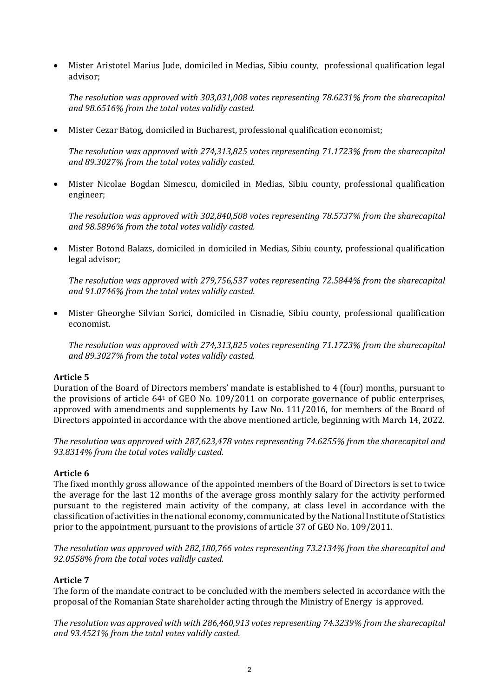Mister Aristotel Marius Jude, domiciled in Medias, Sibiu county, professional qualification legal advisor;

*The resolution was approved with 303,031,008 votes representing 78.6231% from the sharecapital and 98.6516% from the total votes validly casted.*

Mister Cezar Batog, domiciled in Bucharest, professional qualification economist;

*The resolution was approved with 274,313,825 votes representing 71.1723% from the sharecapital and 89.3027% from the total votes validly casted.*

 Mister Nicolae Bogdan Simescu, domiciled in Medias, Sibiu county, professional qualification engineer;

*The resolution was approved with 302,840,508 votes representing 78.5737% from the sharecapital and 98.5896% from the total votes validly casted.*

 Mister Botond Balazs, domiciled in domiciled in Medias, Sibiu county, professional qualification legal advisor;

*The resolution was approved with 279,756,537 votes representing 72.5844% from the sharecapital and 91.0746% from the total votes validly casted.*

 Mister Gheorghe Silvian Sorici, domiciled in Cisnadie, Sibiu county, professional qualification economist.

*The resolution was approved with 274,313,825 votes representing 71.1723% from the sharecapital and 89.3027% from the total votes validly casted.*

#### **Article 5**

Duration of the Board of Directors members' mandate is established to 4 (four) months, pursuant to the provisions of article 64<sup>1</sup> of GEO No. 109/2011 on corporate governance of public enterprises, approved with amendments and supplements by Law No. 111/2016, for members of the Board of Directors appointed in accordance with the above mentioned article, beginning with March 14, 2022.

*The resolution was approved with 287,623,478 votes representing 74.6255% from the sharecapital and 93.8314% from the total votes validly casted.*

#### **Article 6**

The fixed monthly gross allowance of the appointed members of the Board of Directors is set to twice the average for the last 12 months of the average gross monthly salary for the activity performed pursuant to the registered main activity of the company, at class level in accordance with the classification of activities in the national economy, communicated by the National Institute of Statistics prior to the appointment, pursuant to the provisions of article 37 of GEO No. 109/2011.

*The resolution was approved with 282,180,766 votes representing 73.2134% from the sharecapital and 92.0558% from the total votes validly casted.*

## **Article 7**

The form of the mandate contract to be concluded with the members selected in accordance with the proposal of the Romanian State shareholder acting through the Ministry of Energy is approved.

*The resolution was approved with with 286,460,913 votes representing 74.3239% from the sharecapital and 93.4521% from the total votes validly casted.*